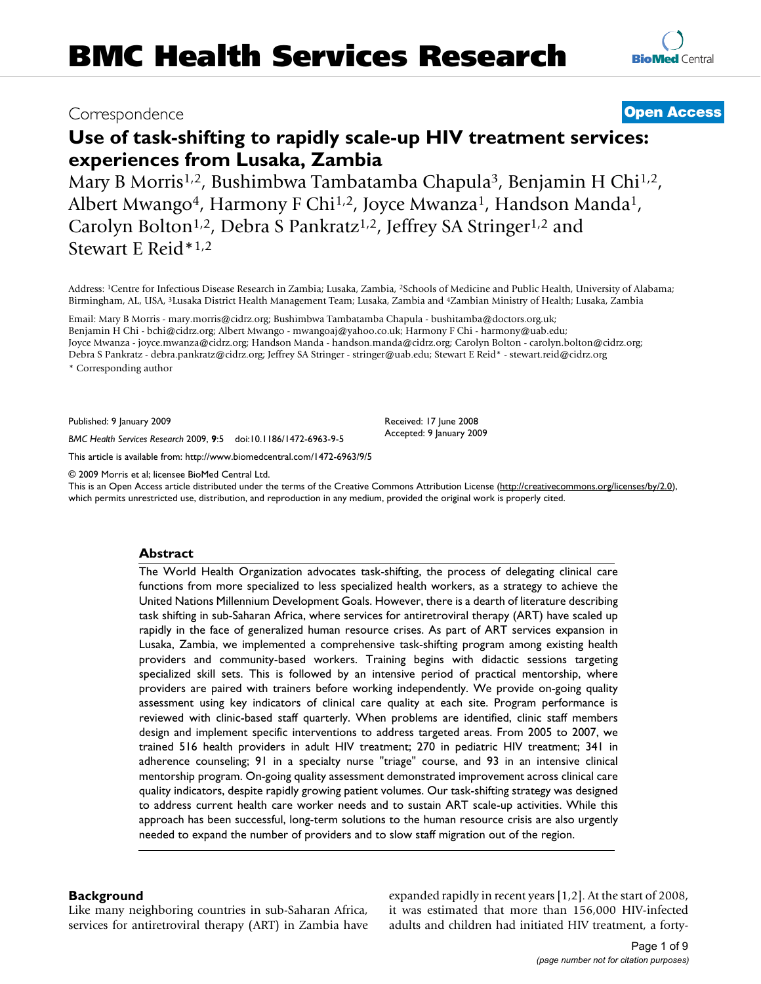# Correspondence **[Open Access](http://www.biomedcentral.com/info/about/charter/)**

# **Use of task-shifting to rapidly scale-up HIV treatment services: experiences from Lusaka, Zambia**

Mary B Morris<sup>1,2</sup>, Bushimbwa Tambatamba Chapula<sup>3</sup>, Benjamin H Chi<sup>1,2</sup>, Albert Mwango<sup>4</sup>, Harmony F Chi<sup>1,2</sup>, Joyce Mwanza<sup>1</sup>, Handson Manda<sup>1</sup>, Carolyn Bolton<sup>1,2</sup>, Debra S Pankratz<sup>1,2</sup>, Jeffrey SA Stringer<sup>1,2</sup> and Stewart E Reid\*1,2

Address: 1Centre for Infectious Disease Research in Zambia; Lusaka, Zambia, 2Schools of Medicine and Public Health, University of Alabama; Birmingham, AL, USA, 3Lusaka District Health Management Team; Lusaka, Zambia and 4Zambian Ministry of Health; Lusaka, Zambia

Email: Mary B Morris - mary.morris@cidrz.org; Bushimbwa Tambatamba Chapula - bushitamba@doctors.org.uk; Benjamin H Chi - bchi@cidrz.org; Albert Mwango - mwangoaj@yahoo.co.uk; Harmony F Chi - harmony@uab.edu; Joyce Mwanza - joyce.mwanza@cidrz.org; Handson Manda - handson.manda@cidrz.org; Carolyn Bolton - carolyn.bolton@cidrz.org; Debra S Pankratz - debra.pankratz@cidrz.org; Jeffrey SA Stringer - stringer@uab.edu; Stewart E Reid\* - stewart.reid@cidrz.org

\* Corresponding author

Published: 9 January 2009

*BMC Health Services Research* 2009, **9**:5 doi:10.1186/1472-6963-9-5

[This article is available from: http://www.biomedcentral.com/1472-6963/9/5](http://www.biomedcentral.com/1472-6963/9/5)

© 2009 Morris et al; licensee BioMed Central Ltd.

This is an Open Access article distributed under the terms of the Creative Commons Attribution License [\(http://creativecommons.org/licenses/by/2.0\)](http://creativecommons.org/licenses/by/2.0), which permits unrestricted use, distribution, and reproduction in any medium, provided the original work is properly cited.

### **Abstract**

The World Health Organization advocates task-shifting, the process of delegating clinical care functions from more specialized to less specialized health workers, as a strategy to achieve the United Nations Millennium Development Goals. However, there is a dearth of literature describing task shifting in sub-Saharan Africa, where services for antiretroviral therapy (ART) have scaled up rapidly in the face of generalized human resource crises. As part of ART services expansion in Lusaka, Zambia, we implemented a comprehensive task-shifting program among existing health providers and community-based workers. Training begins with didactic sessions targeting specialized skill sets. This is followed by an intensive period of practical mentorship, where providers are paired with trainers before working independently. We provide on-going quality assessment using key indicators of clinical care quality at each site. Program performance is reviewed with clinic-based staff quarterly. When problems are identified, clinic staff members design and implement specific interventions to address targeted areas. From 2005 to 2007, we trained 516 health providers in adult HIV treatment; 270 in pediatric HIV treatment; 341 in adherence counseling; 91 in a specialty nurse "triage" course, and 93 in an intensive clinical mentorship program. On-going quality assessment demonstrated improvement across clinical care quality indicators, despite rapidly growing patient volumes. Our task-shifting strategy was designed to address current health care worker needs and to sustain ART scale-up activities. While this approach has been successful, long-term solutions to the human resource crisis are also urgently needed to expand the number of providers and to slow staff migration out of the region.

# **Background**

Like many neighboring countries in sub-Saharan Africa, services for antiretroviral therapy (ART) in Zambia have expanded rapidly in recent years [1,2]. At the start of 2008, it was estimated that more than 156,000 HIV-infected adults and children had initiated HIV treatment, a forty-

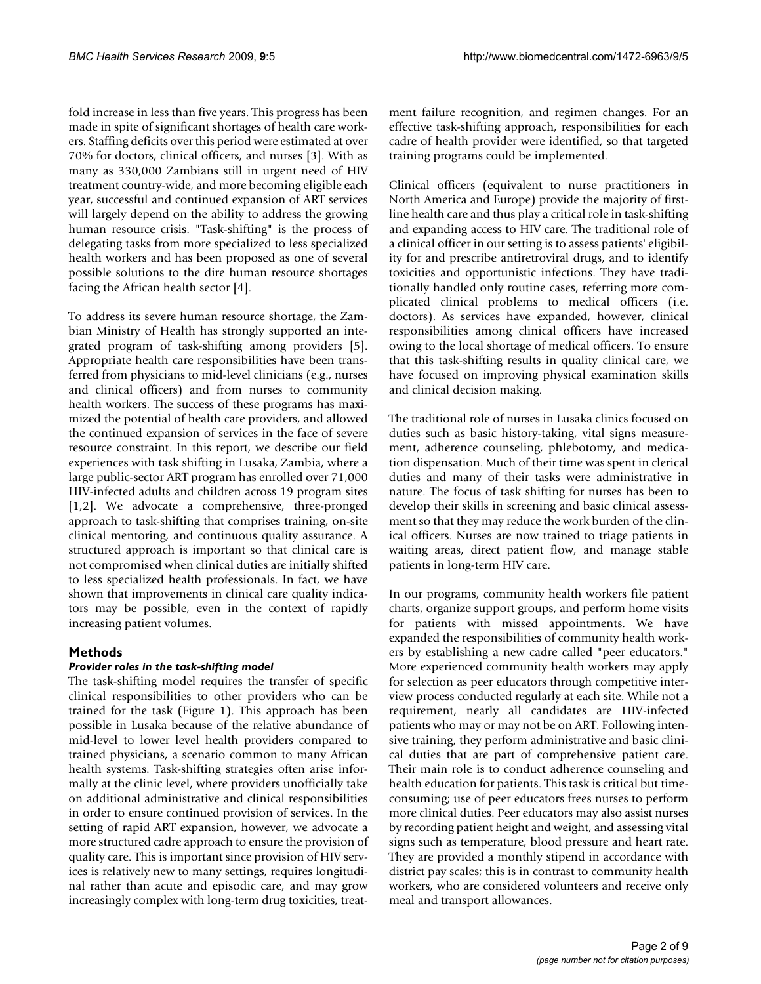fold increase in less than five years. This progress has been made in spite of significant shortages of health care workers. Staffing deficits over this period were estimated at over 70% for doctors, clinical officers, and nurses [3]. With as many as 330,000 Zambians still in urgent need of HIV treatment country-wide, and more becoming eligible each year, successful and continued expansion of ART services will largely depend on the ability to address the growing human resource crisis. "Task-shifting" is the process of delegating tasks from more specialized to less specialized health workers and has been proposed as one of several possible solutions to the dire human resource shortages facing the African health sector [4].

To address its severe human resource shortage, the Zambian Ministry of Health has strongly supported an integrated program of task-shifting among providers [5]. Appropriate health care responsibilities have been transferred from physicians to mid-level clinicians (e.g., nurses and clinical officers) and from nurses to community health workers. The success of these programs has maximized the potential of health care providers, and allowed the continued expansion of services in the face of severe resource constraint. In this report, we describe our field experiences with task shifting in Lusaka, Zambia, where a large public-sector ART program has enrolled over 71,000 HIV-infected adults and children across 19 program sites [1,2]. We advocate a comprehensive, three-pronged approach to task-shifting that comprises training, on-site clinical mentoring, and continuous quality assurance. A structured approach is important so that clinical care is not compromised when clinical duties are initially shifted to less specialized health professionals. In fact, we have shown that improvements in clinical care quality indicators may be possible, even in the context of rapidly increasing patient volumes.

# **Methods**

# *Provider roles in the task-shifting model*

The task-shifting model requires the transfer of specific clinical responsibilities to other providers who can be trained for the task (Figure 1). This approach has been possible in Lusaka because of the relative abundance of mid-level to lower level health providers compared to trained physicians, a scenario common to many African health systems. Task-shifting strategies often arise informally at the clinic level, where providers unofficially take on additional administrative and clinical responsibilities in order to ensure continued provision of services. In the setting of rapid ART expansion, however, we advocate a more structured cadre approach to ensure the provision of quality care. This is important since provision of HIV services is relatively new to many settings, requires longitudinal rather than acute and episodic care, and may grow increasingly complex with long-term drug toxicities, treatment failure recognition, and regimen changes. For an effective task-shifting approach, responsibilities for each cadre of health provider were identified, so that targeted training programs could be implemented.

Clinical officers (equivalent to nurse practitioners in North America and Europe) provide the majority of firstline health care and thus play a critical role in task-shifting and expanding access to HIV care. The traditional role of a clinical officer in our setting is to assess patients' eligibility for and prescribe antiretroviral drugs, and to identify toxicities and opportunistic infections. They have traditionally handled only routine cases, referring more complicated clinical problems to medical officers (i.e. doctors). As services have expanded, however, clinical responsibilities among clinical officers have increased owing to the local shortage of medical officers. To ensure that this task-shifting results in quality clinical care, we have focused on improving physical examination skills and clinical decision making.

The traditional role of nurses in Lusaka clinics focused on duties such as basic history-taking, vital signs measurement, adherence counseling, phlebotomy, and medication dispensation. Much of their time was spent in clerical duties and many of their tasks were administrative in nature. The focus of task shifting for nurses has been to develop their skills in screening and basic clinical assessment so that they may reduce the work burden of the clinical officers. Nurses are now trained to triage patients in waiting areas, direct patient flow, and manage stable patients in long-term HIV care.

In our programs, community health workers file patient charts, organize support groups, and perform home visits for patients with missed appointments. We have expanded the responsibilities of community health workers by establishing a new cadre called "peer educators." More experienced community health workers may apply for selection as peer educators through competitive interview process conducted regularly at each site. While not a requirement, nearly all candidates are HIV-infected patients who may or may not be on ART. Following intensive training, they perform administrative and basic clinical duties that are part of comprehensive patient care. Their main role is to conduct adherence counseling and health education for patients. This task is critical but timeconsuming; use of peer educators frees nurses to perform more clinical duties. Peer educators may also assist nurses by recording patient height and weight, and assessing vital signs such as temperature, blood pressure and heart rate. They are provided a monthly stipend in accordance with district pay scales; this is in contrast to community health workers, who are considered volunteers and receive only meal and transport allowances.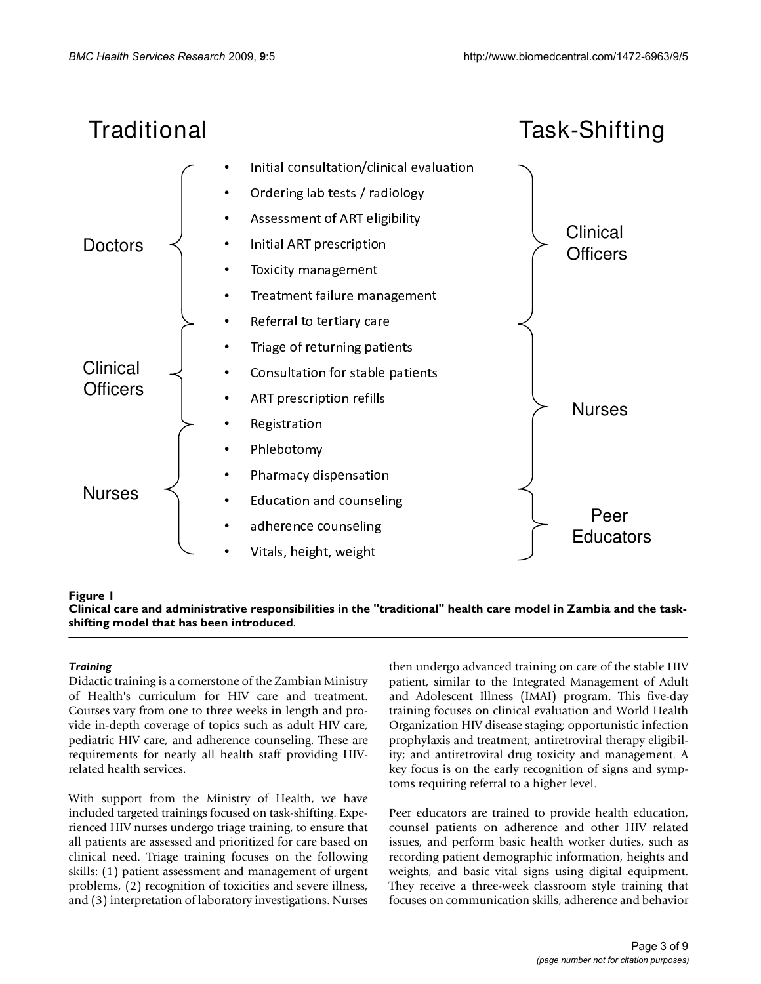| Traditional          |                                                                                                                                                                                                                             | Task-Shifting |                             |  |
|----------------------|-----------------------------------------------------------------------------------------------------------------------------------------------------------------------------------------------------------------------------|---------------|-----------------------------|--|
| <b>Doctors</b>       | Initial consultation/clinical evaluation<br>Ordering lab tests / radiology<br>Assessment of ART eligibility<br>Initial ART prescription<br>Toxicity management<br>Treatment failure management<br>Referral to tertiary care |               | Clinical<br><b>Officers</b> |  |
| Clinical<br>Officers | Triage of returning patients<br>Consultation for stable patients<br>ART prescription refills<br>Registration<br>Phlebotomy                                                                                                  |               | <b>Nurses</b>               |  |
| <b>Nurses</b>        | Pharmacy dispensation<br><b>Education and counseling</b><br>adherence counseling<br>Vitals, height, weight                                                                                                                  |               | Peer<br>Educators           |  |

# has been introduced **Figure 1** Clinical care and administrative responsibilities in the "traditional" health care model in Zambia and the task-shifting model that

**Clinical care and administrative responsibilities in the "traditional" health care model in Zambia and the taskshifting model that has been introduced**.

# *Training*

Didactic training is a cornerstone of the Zambian Ministry of Health's curriculum for HIV care and treatment. Courses vary from one to three weeks in length and provide in-depth coverage of topics such as adult HIV care, pediatric HIV care, and adherence counseling. These are requirements for nearly all health staff providing HIVrelated health services.

With support from the Ministry of Health, we have included targeted trainings focused on task-shifting. Experienced HIV nurses undergo triage training, to ensure that all patients are assessed and prioritized for care based on clinical need. Triage training focuses on the following skills: (1) patient assessment and management of urgent problems, (2) recognition of toxicities and severe illness, and (3) interpretation of laboratory investigations. Nurses then undergo advanced training on care of the stable HIV patient, similar to the Integrated Management of Adult and Adolescent Illness (IMAI) program. This five-day training focuses on clinical evaluation and World Health Organization HIV disease staging; opportunistic infection prophylaxis and treatment; antiretroviral therapy eligibility; and antiretroviral drug toxicity and management. A key focus is on the early recognition of signs and symptoms requiring referral to a higher level.

Peer educators are trained to provide health education, counsel patients on adherence and other HIV related issues, and perform basic health worker duties, such as recording patient demographic information, heights and weights, and basic vital signs using digital equipment. They receive a three-week classroom style training that focuses on communication skills, adherence and behavior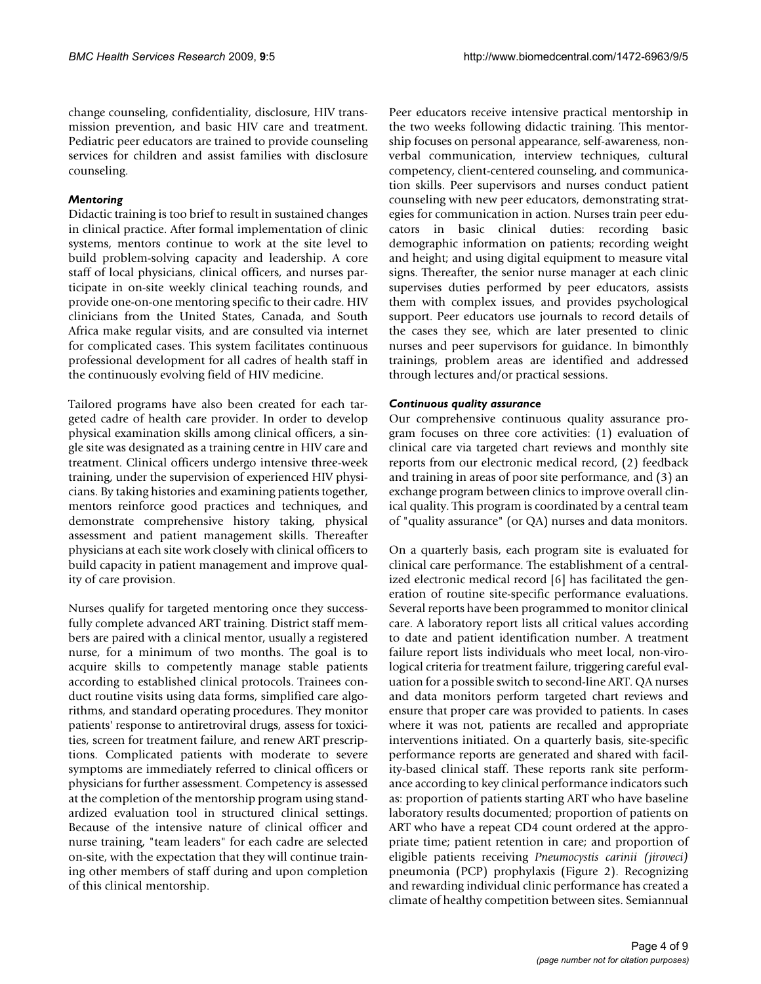change counseling, confidentiality, disclosure, HIV transmission prevention, and basic HIV care and treatment. Pediatric peer educators are trained to provide counseling services for children and assist families with disclosure counseling.

### *Mentoring*

Didactic training is too brief to result in sustained changes in clinical practice. After formal implementation of clinic systems, mentors continue to work at the site level to build problem-solving capacity and leadership. A core staff of local physicians, clinical officers, and nurses participate in on-site weekly clinical teaching rounds, and provide one-on-one mentoring specific to their cadre. HIV clinicians from the United States, Canada, and South Africa make regular visits, and are consulted via internet for complicated cases. This system facilitates continuous professional development for all cadres of health staff in the continuously evolving field of HIV medicine.

Tailored programs have also been created for each targeted cadre of health care provider. In order to develop physical examination skills among clinical officers, a single site was designated as a training centre in HIV care and treatment. Clinical officers undergo intensive three-week training, under the supervision of experienced HIV physicians. By taking histories and examining patients together, mentors reinforce good practices and techniques, and demonstrate comprehensive history taking, physical assessment and patient management skills. Thereafter physicians at each site work closely with clinical officers to build capacity in patient management and improve quality of care provision.

Nurses qualify for targeted mentoring once they successfully complete advanced ART training. District staff members are paired with a clinical mentor, usually a registered nurse, for a minimum of two months. The goal is to acquire skills to competently manage stable patients according to established clinical protocols. Trainees conduct routine visits using data forms, simplified care algorithms, and standard operating procedures. They monitor patients' response to antiretroviral drugs, assess for toxicities, screen for treatment failure, and renew ART prescriptions. Complicated patients with moderate to severe symptoms are immediately referred to clinical officers or physicians for further assessment. Competency is assessed at the completion of the mentorship program using standardized evaluation tool in structured clinical settings. Because of the intensive nature of clinical officer and nurse training, "team leaders" for each cadre are selected on-site, with the expectation that they will continue training other members of staff during and upon completion of this clinical mentorship.

Peer educators receive intensive practical mentorship in the two weeks following didactic training. This mentorship focuses on personal appearance, self-awareness, nonverbal communication, interview techniques, cultural competency, client-centered counseling, and communication skills. Peer supervisors and nurses conduct patient counseling with new peer educators, demonstrating strategies for communication in action. Nurses train peer educators in basic clinical duties: recording basic demographic information on patients; recording weight and height; and using digital equipment to measure vital signs. Thereafter, the senior nurse manager at each clinic supervises duties performed by peer educators, assists them with complex issues, and provides psychological support. Peer educators use journals to record details of the cases they see, which are later presented to clinic nurses and peer supervisors for guidance. In bimonthly trainings, problem areas are identified and addressed through lectures and/or practical sessions.

### *Continuous quality assurance*

Our comprehensive continuous quality assurance program focuses on three core activities: (1) evaluation of clinical care via targeted chart reviews and monthly site reports from our electronic medical record, (2) feedback and training in areas of poor site performance, and (3) an exchange program between clinics to improve overall clinical quality. This program is coordinated by a central team of "quality assurance" (or QA) nurses and data monitors.

On a quarterly basis, each program site is evaluated for clinical care performance. The establishment of a centralized electronic medical record [6] has facilitated the generation of routine site-specific performance evaluations. Several reports have been programmed to monitor clinical care. A laboratory report lists all critical values according to date and patient identification number. A treatment failure report lists individuals who meet local, non-virological criteria for treatment failure, triggering careful evaluation for a possible switch to second-line ART. QA nurses and data monitors perform targeted chart reviews and ensure that proper care was provided to patients. In cases where it was not, patients are recalled and appropriate interventions initiated. On a quarterly basis, site-specific performance reports are generated and shared with facility-based clinical staff. These reports rank site performance according to key clinical performance indicators such as: proportion of patients starting ART who have baseline laboratory results documented; proportion of patients on ART who have a repeat CD4 count ordered at the appropriate time; patient retention in care; and proportion of eligible patients receiving *Pneumocystis carinii (jiroveci)* pneumonia (PCP) prophylaxis (Figure 2). Recognizing and rewarding individual clinic performance has created a climate of healthy competition between sites. Semiannual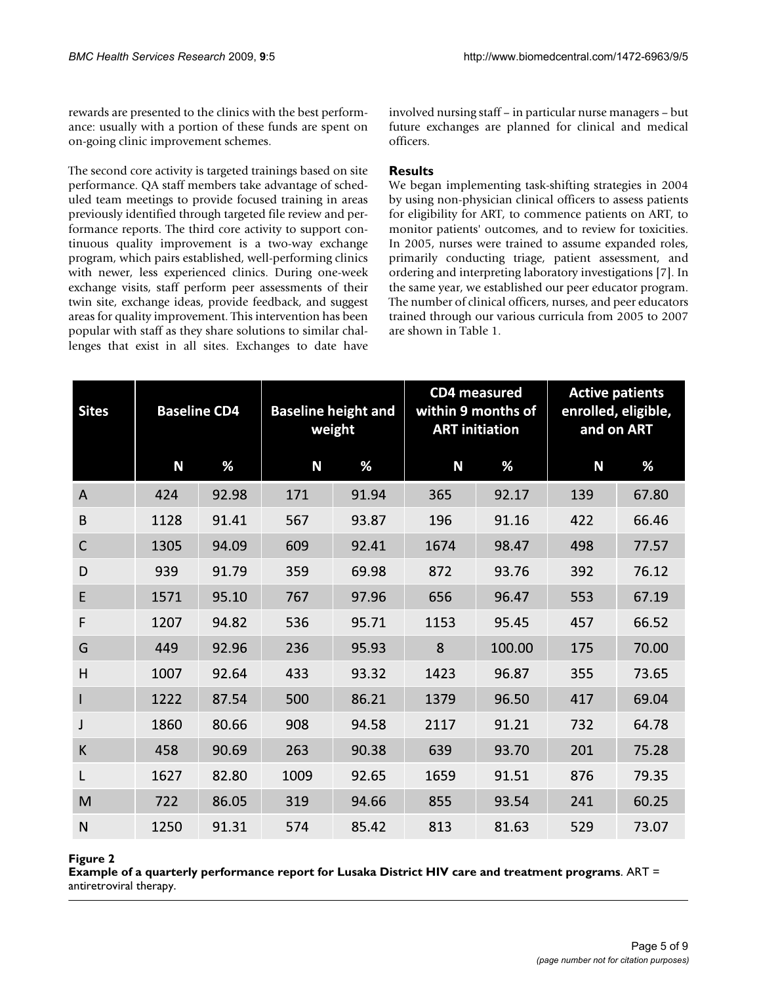rewards are presented to the clinics with the best performance: usually with a portion of these funds are spent on on-going clinic improvement schemes.

The second core activity is targeted trainings based on site performance. QA staff members take advantage of scheduled team meetings to provide focused training in areas previously identified through targeted file review and performance reports. The third core activity to support continuous quality improvement is a two-way exchange program, which pairs established, well-performing clinics with newer, less experienced clinics. During one-week exchange visits, staff perform peer assessments of their twin site, exchange ideas, provide feedback, and suggest areas for quality improvement. This intervention has been popular with staff as they share solutions to similar challenges that exist in all sites. Exchanges to date have involved nursing staff – in particular nurse managers – but future exchanges are planned for clinical and medical officers.

# **Results**

We began implementing task-shifting strategies in 2004 by using non-physician clinical officers to assess patients for eligibility for ART, to commence patients on ART, to monitor patients' outcomes, and to review for toxicities. In 2005, nurses were trained to assume expanded roles, primarily conducting triage, patient assessment, and ordering and interpreting laboratory investigations [7]. In the same year, we established our peer educator program. The number of clinical officers, nurses, and peer educators trained through our various curricula from 2005 to 2007 are shown in Table 1.

| <b>Sites</b> | <b>Baseline CD4</b> |       | <b>Baseline height and</b><br>weight |       | <b>CD4</b> measured<br>within 9 months of<br><b>ART initiation</b> |        | <b>Active patients</b><br>enrolled, eligible,<br>and on ART |       |
|--------------|---------------------|-------|--------------------------------------|-------|--------------------------------------------------------------------|--------|-------------------------------------------------------------|-------|
|              | N                   | %     | N                                    | %     | N                                                                  | %      | N                                                           | %     |
| A            | 424                 | 92.98 | 171                                  | 91.94 | 365                                                                | 92.17  | 139                                                         | 67.80 |
| B            | 1128                | 91.41 | 567                                  | 93.87 | 196                                                                | 91.16  | 422                                                         | 66.46 |
| $\mathsf C$  | 1305                | 94.09 | 609                                  | 92.41 | 1674                                                               | 98.47  | 498                                                         | 77.57 |
| D            | 939                 | 91.79 | 359                                  | 69.98 | 872                                                                | 93.76  | 392                                                         | 76.12 |
| E            | 1571                | 95.10 | 767                                  | 97.96 | 656                                                                | 96.47  | 553                                                         | 67.19 |
| F            | 1207                | 94.82 | 536                                  | 95.71 | 1153                                                               | 95.45  | 457                                                         | 66.52 |
| G            | 449                 | 92.96 | 236                                  | 95.93 | 8                                                                  | 100.00 | 175                                                         | 70.00 |
| H            | 1007                | 92.64 | 433                                  | 93.32 | 1423                                                               | 96.87  | 355                                                         | 73.65 |
| L            | 1222                | 87.54 | 500                                  | 86.21 | 1379                                                               | 96.50  | 417                                                         | 69.04 |
| J            | 1860                | 80.66 | 908                                  | 94.58 | 2117                                                               | 91.21  | 732                                                         | 64.78 |
| К            | 458                 | 90.69 | 263                                  | 90.38 | 639                                                                | 93.70  | 201                                                         | 75.28 |
| L            | 1627                | 82.80 | 1009                                 | 92.65 | 1659                                                               | 91.51  | 876                                                         | 79.35 |
| M            | 722                 | 86.05 | 319                                  | 94.66 | 855                                                                | 93.54  | 241                                                         | 60.25 |
| N            | 1250                | 91.31 | 574                                  | 85.42 | 813                                                                | 81.63  | 529                                                         | 73.07 |

Example of a quarterly performance report for **Figure 2** Lusaka District HIV care and treatment programs **Example of a quarterly performance report for Lusaka District HIV care and treatment programs**. ART = antiretroviral therapy.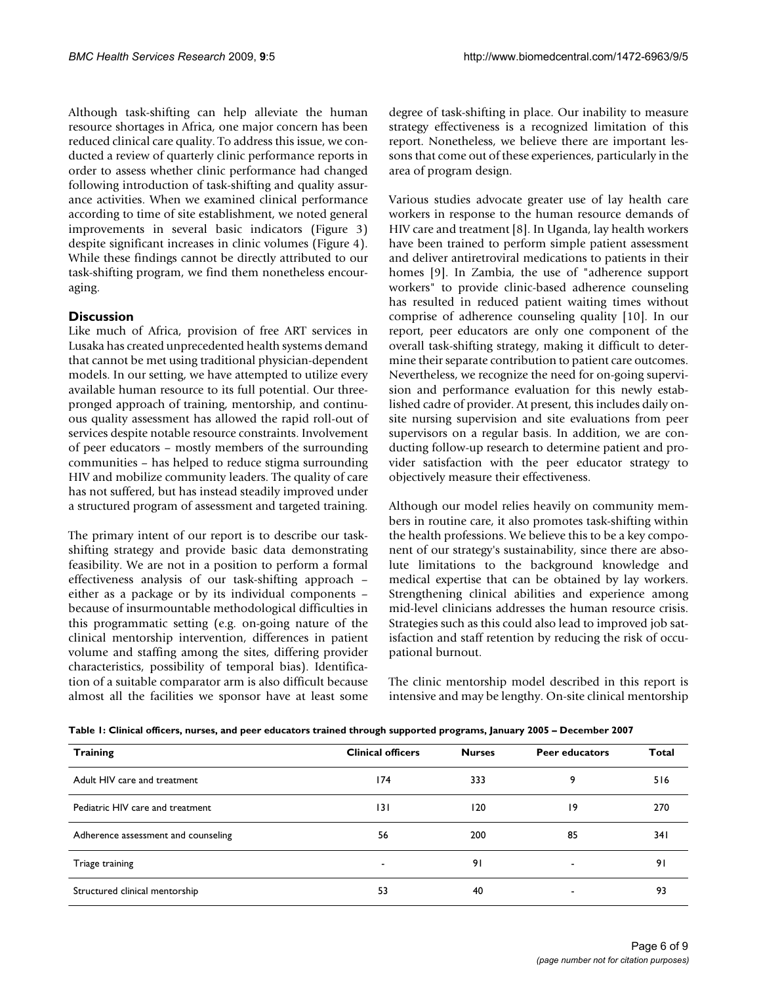Although task-shifting can help alleviate the human resource shortages in Africa, one major concern has been reduced clinical care quality. To address this issue, we conducted a review of quarterly clinic performance reports in order to assess whether clinic performance had changed following introduction of task-shifting and quality assurance activities. When we examined clinical performance according to time of site establishment, we noted general improvements in several basic indicators (Figure 3) despite significant increases in clinic volumes (Figure 4). While these findings cannot be directly attributed to our task-shifting program, we find them nonetheless encouraging.

### **Discussion**

Like much of Africa, provision of free ART services in Lusaka has created unprecedented health systems demand that cannot be met using traditional physician-dependent models. In our setting, we have attempted to utilize every available human resource to its full potential. Our threepronged approach of training, mentorship, and continuous quality assessment has allowed the rapid roll-out of services despite notable resource constraints. Involvement of peer educators – mostly members of the surrounding communities – has helped to reduce stigma surrounding HIV and mobilize community leaders. The quality of care has not suffered, but has instead steadily improved under a structured program of assessment and targeted training.

The primary intent of our report is to describe our taskshifting strategy and provide basic data demonstrating feasibility. We are not in a position to perform a formal effectiveness analysis of our task-shifting approach – either as a package or by its individual components – because of insurmountable methodological difficulties in this programmatic setting (e.g. on-going nature of the clinical mentorship intervention, differences in patient volume and staffing among the sites, differing provider characteristics, possibility of temporal bias). Identification of a suitable comparator arm is also difficult because almost all the facilities we sponsor have at least some degree of task-shifting in place. Our inability to measure strategy effectiveness is a recognized limitation of this report. Nonetheless, we believe there are important lessons that come out of these experiences, particularly in the area of program design.

Various studies advocate greater use of lay health care workers in response to the human resource demands of HIV care and treatment [8]. In Uganda, lay health workers have been trained to perform simple patient assessment and deliver antiretroviral medications to patients in their homes [9]. In Zambia, the use of "adherence support workers" to provide clinic-based adherence counseling has resulted in reduced patient waiting times without comprise of adherence counseling quality [10]. In our report, peer educators are only one component of the overall task-shifting strategy, making it difficult to determine their separate contribution to patient care outcomes. Nevertheless, we recognize the need for on-going supervision and performance evaluation for this newly established cadre of provider. At present, this includes daily onsite nursing supervision and site evaluations from peer supervisors on a regular basis. In addition, we are conducting follow-up research to determine patient and provider satisfaction with the peer educator strategy to objectively measure their effectiveness.

Although our model relies heavily on community members in routine care, it also promotes task-shifting within the health professions. We believe this to be a key component of our strategy's sustainability, since there are absolute limitations to the background knowledge and medical expertise that can be obtained by lay workers. Strengthening clinical abilities and experience among mid-level clinicians addresses the human resource crisis. Strategies such as this could also lead to improved job satisfaction and staff retention by reducing the risk of occupational burnout.

The clinic mentorship model described in this report is intensive and may be lengthy. On-site clinical mentorship

| <b>Training</b>                     | <b>Clinical officers</b> | <b>Nurses</b> | Peer educators               | Total |
|-------------------------------------|--------------------------|---------------|------------------------------|-------|
| Adult HIV care and treatment        | 174                      | 333           | 9                            | 516   |
| Pediatric HIV care and treatment    | 131                      | 120           | 19                           | 270   |
| Adherence assessment and counseling | 56                       | 200           | 85                           | 341   |
| Triage training                     | $\overline{\phantom{0}}$ | 91            | $\qquad \qquad \blacksquare$ | 91    |
| Structured clinical mentorship      | 53                       | 40            |                              | 93    |

**Table 1: Clinical officers, nurses, and peer educators trained through supported programs, January 2005 – December 2007**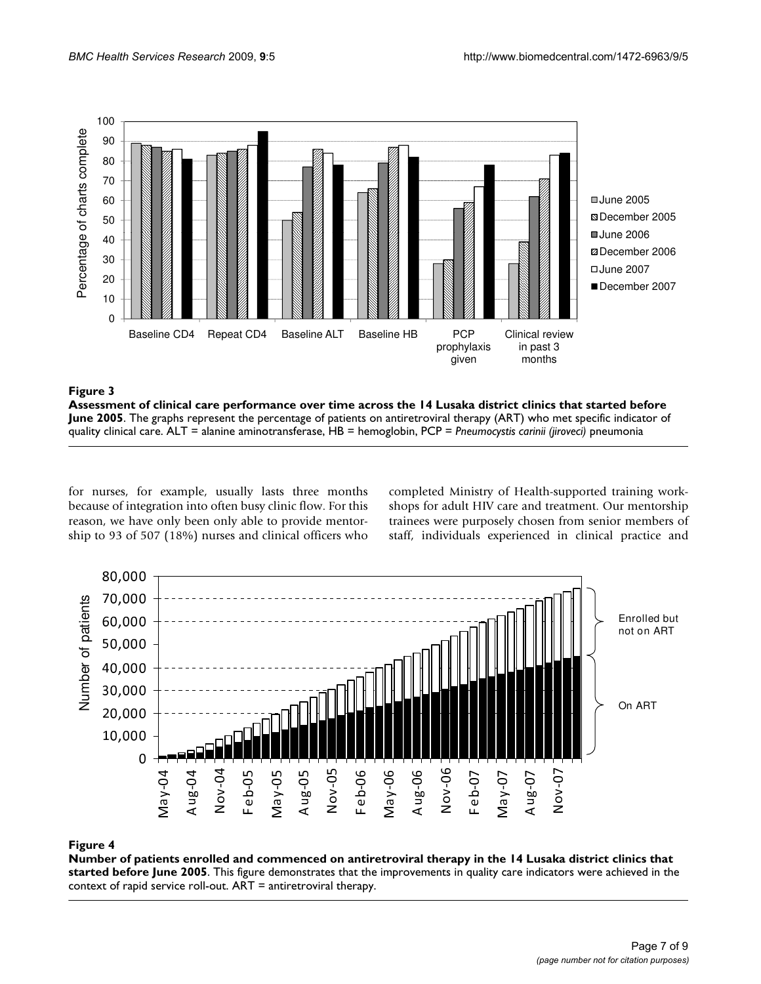

# Assessment of clinical care performanc **Figure 3** e over time across the 14 Lusaka district clinics that started before June 2005

**Assessment of clinical care performance over time across the 14 Lusaka district clinics that started before June 2005**. The graphs represent the percentage of patients on antiretroviral therapy (ART) who met specific indicator of quality clinical care. ALT = alanine aminotransferase, HB = hemoglobin, PCP = *Pneumocystis carinii (jiroveci)* pneumonia

for nurses, for example, usually lasts three months because of integration into often busy clinic flow. For this reason, we have only been only able to provide mentorship to 93 of 507 (18%) nurses and clinical officers who

completed Ministry of Health-supported training workshops for adult HIV care and treatment. Our mentorship trainees were purposely chosen from senior members of staff, individuals experienced in clinical practice and



# Number of patients enrolled and commenced 2005 **Figure 4** on antiretroviral therapy in the 14 Lusaka district clinics that started before June

**Number of patients enrolled and commenced on antiretroviral therapy in the 14 Lusaka district clinics that started before June 2005**. This figure demonstrates that the improvements in quality care indicators were achieved in the context of rapid service roll-out. ART = antiretroviral therapy.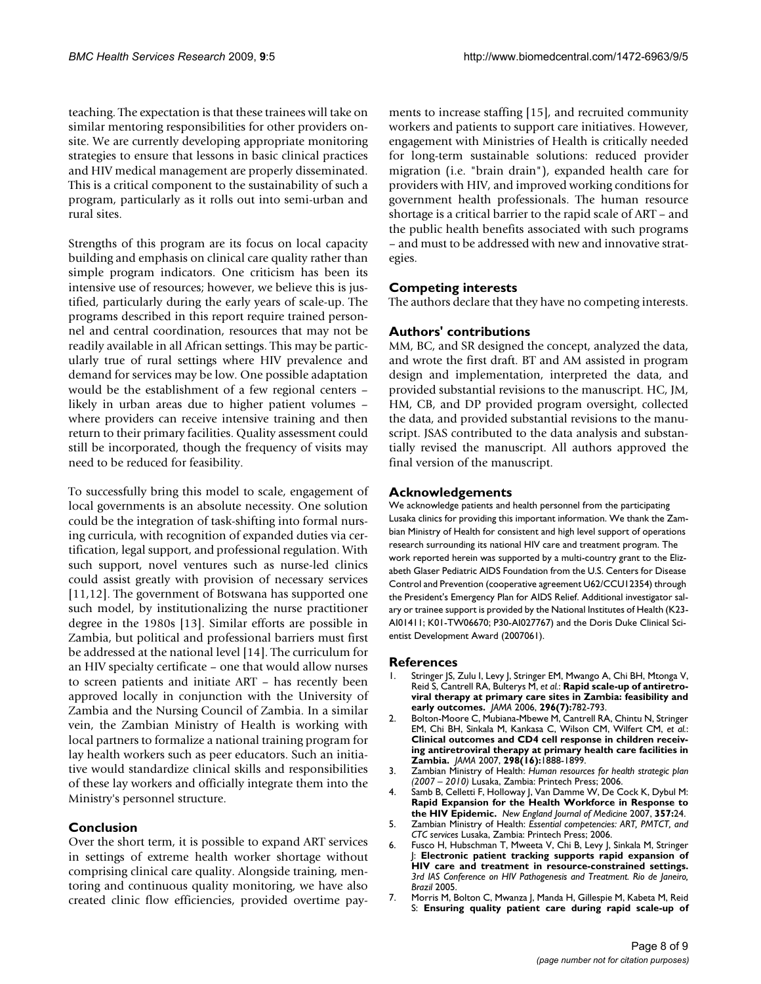teaching. The expectation is that these trainees will take on similar mentoring responsibilities for other providers onsite. We are currently developing appropriate monitoring strategies to ensure that lessons in basic clinical practices and HIV medical management are properly disseminated. This is a critical component to the sustainability of such a program, particularly as it rolls out into semi-urban and rural sites.

Strengths of this program are its focus on local capacity building and emphasis on clinical care quality rather than simple program indicators. One criticism has been its intensive use of resources; however, we believe this is justified, particularly during the early years of scale-up. The programs described in this report require trained personnel and central coordination, resources that may not be readily available in all African settings. This may be particularly true of rural settings where HIV prevalence and demand for services may be low. One possible adaptation would be the establishment of a few regional centers – likely in urban areas due to higher patient volumes – where providers can receive intensive training and then return to their primary facilities. Quality assessment could still be incorporated, though the frequency of visits may need to be reduced for feasibility.

To successfully bring this model to scale, engagement of local governments is an absolute necessity. One solution could be the integration of task-shifting into formal nursing curricula, with recognition of expanded duties via certification, legal support, and professional regulation. With such support, novel ventures such as nurse-led clinics could assist greatly with provision of necessary services [11,12]. The government of Botswana has supported one such model, by institutionalizing the nurse practitioner degree in the 1980s [13]. Similar efforts are possible in Zambia, but political and professional barriers must first be addressed at the national level [14]. The curriculum for an HIV specialty certificate – one that would allow nurses to screen patients and initiate ART – has recently been approved locally in conjunction with the University of Zambia and the Nursing Council of Zambia. In a similar vein, the Zambian Ministry of Health is working with local partners to formalize a national training program for lay health workers such as peer educators. Such an initiative would standardize clinical skills and responsibilities of these lay workers and officially integrate them into the Ministry's personnel structure.

### **Conclusion**

Over the short term, it is possible to expand ART services in settings of extreme health worker shortage without comprising clinical care quality. Alongside training, mentoring and continuous quality monitoring, we have also created clinic flow efficiencies, provided overtime payments to increase staffing [15], and recruited community workers and patients to support care initiatives. However, engagement with Ministries of Health is critically needed for long-term sustainable solutions: reduced provider migration (i.e. "brain drain"), expanded health care for providers with HIV, and improved working conditions for government health professionals. The human resource shortage is a critical barrier to the rapid scale of ART – and the public health benefits associated with such programs – and must to be addressed with new and innovative strategies.

### **Competing interests**

The authors declare that they have no competing interests.

### **Authors' contributions**

MM, BC, and SR designed the concept, analyzed the data, and wrote the first draft. BT and AM assisted in program design and implementation, interpreted the data, and provided substantial revisions to the manuscript. HC, JM, HM, CB, and DP provided program oversight, collected the data, and provided substantial revisions to the manuscript. JSAS contributed to the data analysis and substantially revised the manuscript. All authors approved the final version of the manuscript.

### **Acknowledgements**

We acknowledge patients and health personnel from the participating Lusaka clinics for providing this important information. We thank the Zambian Ministry of Health for consistent and high level support of operations research surrounding its national HIV care and treatment program. The work reported herein was supported by a multi-country grant to the Elizabeth Glaser Pediatric AIDS Foundation from the U.S. Centers for Disease Control and Prevention (cooperative agreement U62/CCU12354) through the President's Emergency Plan for AIDS Relief. Additional investigator salary or trainee support is provided by the National Institutes of Health (K23- AI01411; K01-TW06670; P30-AI027767) and the Doris Duke Clinical Scientist Development Award (2007061).

### **References**

- 1. Stringer JS, Zulu I, Levy J, Stringer EM, Mwango A, Chi BH, Mtonga V, Reid S, Cantrell RA, Bulterys M, *et al.*: **[Rapid scale-up of antiretro](http://www.ncbi.nlm.nih.gov/entrez/query.fcgi?cmd=Retrieve&db=PubMed&dopt=Abstract&list_uids=16905784)[viral therapy at primary care sites in Zambia: feasibility and](http://www.ncbi.nlm.nih.gov/entrez/query.fcgi?cmd=Retrieve&db=PubMed&dopt=Abstract&list_uids=16905784) [early outcomes.](http://www.ncbi.nlm.nih.gov/entrez/query.fcgi?cmd=Retrieve&db=PubMed&dopt=Abstract&list_uids=16905784)** *JAMA* 2006, **296(7):**782-793.
- 2. Bolton-Moore C, Mubiana-Mbewe M, Cantrell RA, Chintu N, Stringer EM, Chi BH, Sinkala M, Kankasa C, Wilson CM, Wilfert CM, *et al.*: **[Clinical outcomes and CD4 cell response in children receiv](http://www.ncbi.nlm.nih.gov/entrez/query.fcgi?cmd=Retrieve&db=PubMed&dopt=Abstract&list_uids=17954540)ing antiretroviral therapy at primary health care facilities in [Zambia.](http://www.ncbi.nlm.nih.gov/entrez/query.fcgi?cmd=Retrieve&db=PubMed&dopt=Abstract&list_uids=17954540)** *JAMA* 2007, **298(16):**1888-1899.
- 3. Zambian Ministry of Health: *Human resources for health strategic plan (2007 – 2010)* Lusaka, Zambia: Printech Press; 2006.
- 4. Samb B, Celletti F, Holloway J, Van Damme W, De Cock K, Dybul M: **Rapid Expansion for the Health Workforce in Response to the HIV Epidemic.** *New England Journal of Medicine* 2007, **357:**24.
- 5. Zambian Ministry of Health: *Essential competencies: ART, PMTCT, and CTC services* Lusaka, Zambia: Printech Press; 2006.
- 6. Fusco H, Hubschman T, Mweeta V, Chi B, Levy J, Sinkala M, Stringer J: **Electronic patient tracking supports rapid expansion of HIV care and treatment in resource-constrained settings.** *3rd IAS Conference on HIV Pathogenesis and Treatment. Rio de Janeiro, Brazil* 2005.
- 7. Morris M, Bolton C, Mwanza J, Manda H, Gillespie M, Kabeta M, Reid S: **Ensuring quality patient care during rapid scale-up of**